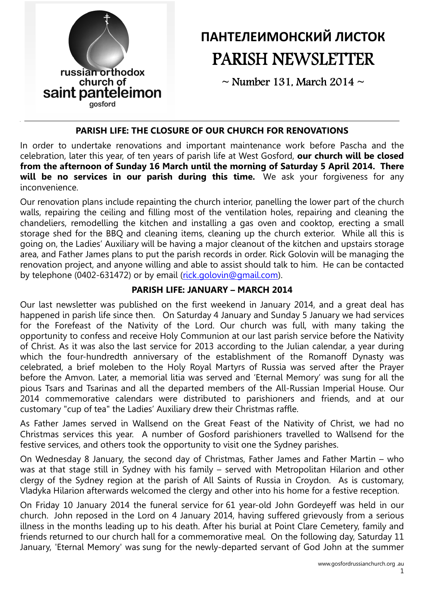

# ПАНТЕЛЕИМОНСКИЙ ЛИСТОК PARISH NEWSLETTER

 $\sim$  Number 131, March 2014  $\sim$ 

### PARISH LIFE: THE CLOSURE OF OUR CHURCH FOR RENOVATIONS

In order to undertake renovations and important maintenance work before Pascha and the celebration, later this year, of ten years of parish life at West Gosford, our church will be closed from the afternoon of Sunday 16 March until the morning of Saturday 5 April 2014. There will be no services in our parish during this time. We ask your forgiveness for any inconvenience.

Our renovation plans include repainting the church interior, panelling the lower part of the church walls, repairing the ceiling and filling most of the ventilation holes, repairing and cleaning the chandeliers, remodelling the kitchen and installing a gas oven and cooktop, erecting a small storage shed for the BBQ and cleaning items, cleaning up the church exterior. While all this is going on, the Ladies' Auxiliary will be having a major cleanout of the kitchen and upstairs storage area, and Father James plans to put the parish records in order. Rick Golovin will be managing the renovation project, and anyone willing and able to assist should talk to him. He can be contacted by telephone (0402-631472) or by email (rick.golovin@gmail.com).

# PARISH LIFE: JANUARY – MARCH 2014

Our last newsletter was published on the first weekend in January 2014, and a great deal has happened in parish life since then. On Saturday 4 January and Sunday 5 January we had services for the Forefeast of the Nativity of the Lord. Our church was full, with many taking the opportunity to confess and receive Holy Communion at our last parish service before the Nativity of Christ. As it was also the last service for 2013 according to the Julian calendar, a year during which the four-hundredth anniversary of the establishment of the Romanoff Dynasty was celebrated, a brief moleben to the Holy Royal Martyrs of Russia was served after the Prayer before the Amvon. Later, a memorial litia was served and 'Eternal Memory' was sung for all the pious Tsars and Tsarinas and all the departed members of the All-Russian Imperial House. Our 2014 commemorative calendars were distributed to parishioners and friends, and at our customary "cup of tea" the Ladies' Auxiliary drew their Christmas raffle.

As Father James served in Wallsend on the Great Feast of the Nativity of Christ, we had no Christmas services this year. A number of Gosford parishioners travelled to Wallsend for the festive services, and others took the opportunity to visit one the Sydney parishes.

On Wednesday 8 January, the second day of Christmas, Father James and Father Martin – who was at that stage still in Sydney with his family – served with Metropolitan Hilarion and other clergy of the Sydney region at the parish of All Saints of Russia in Croydon. As is customary, Vladyka Hilarion afterwards welcomed the clergy and other into his home for a festive reception.

On Friday 10 January 2014 the funeral service for 61 year-old John Gordeyeff was held in our church. John reposed in the Lord on 4 January 2014, having suffered grievously from a serious illness in the months leading up to his death. After his burial at Point Clare Cemetery, family and friends returned to our church hall for a commemorative meal. On the following day, Saturday 11 January, 'Eternal Memory' was sung for the newly-departed servant of God John at the summer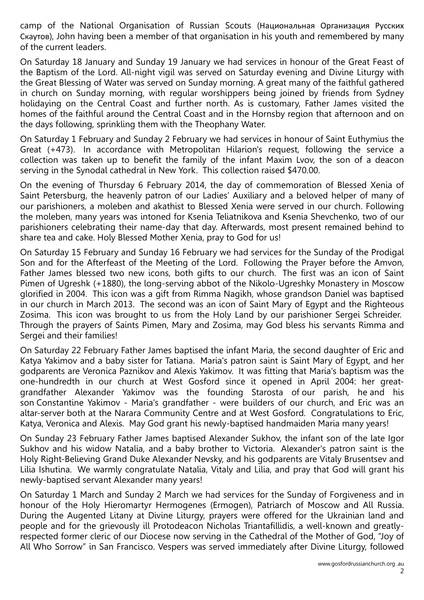camp of the National Organisation of Russian Scouts (Национальная Организация Русских Скаутов), John having been a member of that organisation in his youth and remembered by many of the current leaders.

On Saturday 18 January and Sunday 19 January we had services in honour of the Great Feast of the Baptism of the Lord. All-night vigil was served on Saturday evening and Divine Liturgy with the Great Blessing of Water was served on Sunday morning. A great many of the faithful gathered in church on Sunday morning, with regular worshippers being joined by friends from Sydney holidaying on the Central Coast and further north. As is customary, Father James visited the homes of the faithful around the Central Coast and in the Hornsby region that afternoon and on the days following, sprinkling them with the Theophany Water.

On Saturday 1 February and Sunday 2 February we had services in honour of Saint Euthymius the Great (+473). In accordance with Metropolitan Hilarion's request, following the service a collection was taken up to benefit the family of the infant Maxim Lvov, the son of a deacon serving in the Synodal cathedral in New York. This collection raised \$470.00.

On the evening of Thursday 6 February 2014, the day of commemoration of Blessed Xenia of Saint Petersburg, the heavenly patron of our Ladies' Auxiliary and a beloved helper of many of our parishioners, a moleben and akathist to Blessed Xenia were served in our church. Following the moleben, many years was intoned for Ksenia Teliatnikova and Ksenia Shevchenko, two of our parishioners celebrating their name-day that day. Afterwards, most present remained behind to share tea and cake. Holy Blessed Mother Xenia, pray to God for us!

On Saturday 15 February and Sunday 16 February we had services for the Sunday of the Prodigal Son and for the Afterfeast of the Meeting of the Lord. Following the Prayer before the Amvon, Father James blessed two new icons, both gifts to our church. The first was an icon of Saint Pimen of Ugreshk (+1880), the long-serving abbot of the Nikolo-Ugreshky Monastery in Moscow glorified in 2004. This icon was a gift from Rimma Nagikh, whose grandson Daniel was baptised in our church in March 2013. The second was an icon of Saint Mary of Egypt and the Righteous Zosima. This icon was brought to us from the Holy Land by our parishioner Sergei Schreider. Through the prayers of Saints Pimen, Mary and Zosima, may God bless his servants Rimma and Sergei and their families!

On Saturday 22 February Father James baptised the infant Maria, the second daughter of Eric and Katya Yakimov and a baby sister for Tatiana. Maria's patron saint is Saint Mary of Egypt, and her godparents are Veronica Paznikov and Alexis Yakimov. It was fitting that Maria's baptism was the one-hundredth in our church at West Gosford since it opened in April 2004: her greatgrandfather Alexander Yakimov was the founding Starosta of our parish, he and his son Constantine Yakimov - Maria's grandfather - were builders of our church, and Eric was an altar-server both at the Narara Community Centre and at West Gosford. Congratulations to Eric, Katya, Veronica and Alexis. May God grant his newly-baptised handmaiden Maria many years!

On Sunday 23 February Father James baptised Alexander Sukhov, the infant son of the late Igor Sukhov and his widow Natalia, and a baby brother to Victoria. Alexander's patron saint is the Holy Right-Believing Grand Duke Alexander Nevsky, and his godparents are Vitaly Brusentsev and Lilia Ishutina. We warmly congratulate Natalia, Vitaly and Lilia, and pray that God will grant his newly-baptised servant Alexander many years!

On Saturday 1 March and Sunday 2 March we had services for the Sunday of Forgiveness and in honour of the Holy Hieromartyr Hermogenes (Ermogen), Patriarch of Moscow and All Russia. During the Augented Litany at Divine Liturgy, prayers were offered for the Ukrainian land and people and for the grievously ill Protodeacon Nicholas Triantafillidis, a well-known and greatlyrespected former cleric of our Diocese now serving in the Cathedral of the Mother of God, "Joy of All Who Sorrow" in San Francisco. Vespers was served immediately after Divine Liturgy, followed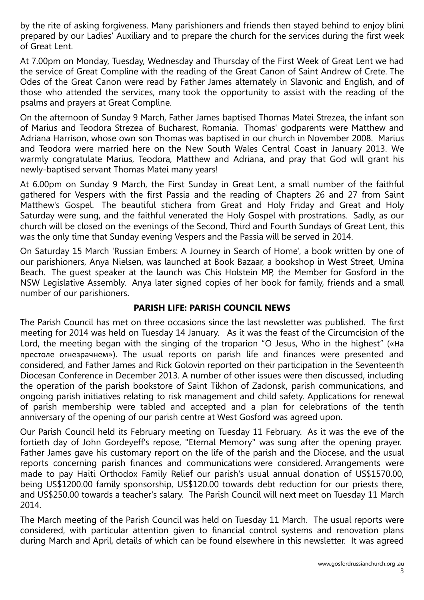by the rite of asking forgiveness. Many parishioners and friends then stayed behind to enjoy blini prepared by our Ladies' Auxiliary and to prepare the church for the services during the first week of Great Lent.

At 7.00pm on Monday, Tuesday, Wednesday and Thursday of the First Week of Great Lent we had the service of Great Compline with the reading of the Great Canon of Saint Andrew of Crete. The Odes of the Great Canon were read by Father James alternately in Slavonic and English, and of those who attended the services, many took the opportunity to assist with the reading of the psalms and prayers at Great Compline.

On the afternoon of Sunday 9 March, Father James baptised Thomas Matei Strezea, the infant son of Marius and Teodora Strezea of Bucharest, Romania. Thomas' godparents were Matthew and Adriana Harrison, whose own son Thomas was baptised in our church in November 2008. Marius and Teodora were married here on the New South Wales Central Coast in January 2013. We warmly congratulate Marius, Teodora, Matthew and Adriana, and pray that God will grant his newly-baptised servant Thomas Matei many years!

At 6.00pm on Sunday 9 March, the First Sunday in Great Lent, a small number of the faithful gathered for Vespers with the first Passia and the reading of Chapters 26 and 27 from Saint Matthew's Gospel. The beautiful stichera from Great and Holy Friday and Great and Holy Saturday were sung, and the faithful venerated the Holy Gospel with prostrations. Sadly, as our church will be closed on the evenings of the Second, Third and Fourth Sundays of Great Lent, this was the only time that Sunday evening Vespers and the Passia will be served in 2014.

On Saturday 15 March 'Russian Embers: A Journey in Search of Home', a book written by one of our parishioners, Anya Nielsen, was launched at Book Bazaar, a bookshop in West Street, Umina Beach. The guest speaker at the launch was Chis Holstein MP, the Member for Gosford in the NSW Legislative Assembly. Anya later signed copies of her book for family, friends and a small number of our parishioners.

#### PARISH LIFE: PARISH COUNCIL NEWS

The Parish Council has met on three occasions since the last newsletter was published. The first meeting for 2014 was held on Tuesday 14 January. As it was the feast of the Circumcision of the Lord, the meeting began with the singing of the troparion "O Jesus, Who in the highest" («На престоле огнезрачнем»). The usual reports on parish life and finances were presented and considered, and Father James and Rick Golovin reported on their participation in the Seventeenth Diocesan Conference in December 2013. A number of other issues were then discussed, including the operation of the parish bookstore of Saint Tikhon of Zadonsk, parish communications, and ongoing parish initiatives relating to risk management and child safety. Applications for renewal of parish membership were tabled and accepted and a plan for celebrations of the tenth anniversary of the opening of our parish centre at West Gosford was agreed upon.

Our Parish Council held its February meeting on Tuesday 11 February. As it was the eve of the fortieth day of John Gordeyeff's repose, "Eternal Memory" was sung after the opening prayer. Father James gave his customary report on the life of the parish and the Diocese, and the usual reports concerning parish finances and communications were considered. Arrangements were made to pay Haiti Orthodox Family Relief our parish's usual annual donation of US\$1570.00, being US\$1200.00 family sponsorship, US\$120.00 towards debt reduction for our priests there, and US\$250.00 towards a teacher's salary. The Parish Council will next meet on Tuesday 11 March 2014.

The March meeting of the Parish Council was held on Tuesday 11 March. The usual reports were considered, with particular attention given to financial control systems and renovation plans during March and April, details of which can be found elsewhere in this newsletter. It was agreed